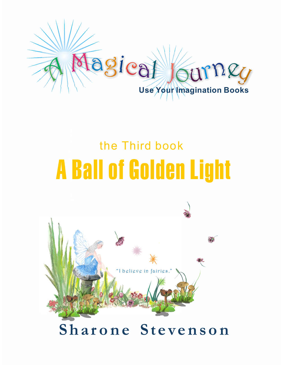

# **h e F i r s t b o o k** A Ball of Golden Light the Third book

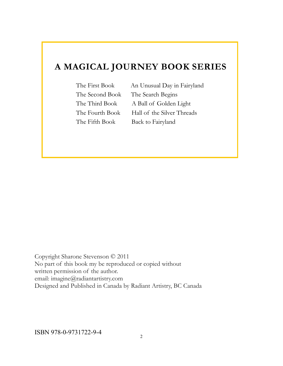#### **A MAGICAL JOURNEY BOOK SERIES**

The Second Book The Search Begins

The First Book An Unusual Day in Fairyland The Third Book A Ball of Golden Light The Fourth Book Hall of the Silver Threads The Fifth Book Back to Fairyland

Copyright Sharone Stevenson © 2011 No part of this book my be reproduced or copied without written permission of the author. email: imagine@radiantartistry.com Designed and Published in Canada by Radiant Artistry, BC Canada

ISBN 978-0-9731722-9-4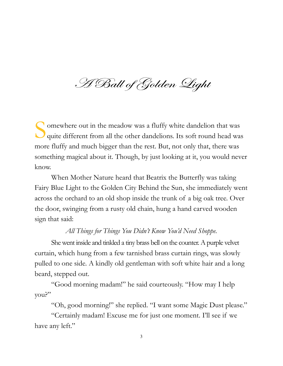H Ball of Golden Light

S omewhere out in the meadow was a fluffy white dandelion that was quite different from all the other dandelions. Its soft round head was more fluffy and much bigger than the rest. But, not only that, there was something magical about it. Though, by just looking at it, you would never know.

When Mother Nature heard that Beatrix the Butterfly was taking Fairy Blue Light to the Golden City Behind the Sun, she immediately went across the orchard to an old shop inside the trunk of a big oak tree. Over the door, swinging from a rusty old chain, hung a hand carved wooden sign that said:

#### *All Things for Things You Didn't Know You'd Need Shoppe.*

She went inside and tinkled a tiny brass bell on the counter. A purple velvet curtain, which hung from a few tarnished brass curtain rings, was slowly pulled to one side. A kindly old gentleman with soft white hair and a long beard, stepped out.

"Good morning madam!" he said courteously. "How may I help you?"

"Oh, good morning!" she replied. "I want some Magic Dust please."

"Certainly madam! Excuse me for just one moment. I'll see if we have any left."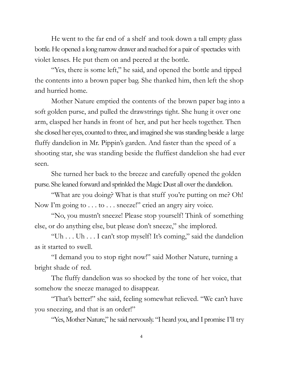He went to the far end of a shelf and took down a tall empty glass bottle. He opened a long narrow drawer and reached for a pair of spectacles with violet lenses. He put them on and peered at the bottle.

"Yes, there is some left," he said, and opened the bottle and tipped the contents into a brown paper bag. She thanked him, then left the shop and hurried home.

Mother Nature emptied the contents of the brown paper bag into a soft golden purse, and pulled the drawstrings tight. She hung it over one arm, clasped her hands in front of her, and put her heels together. Then she closed her eyes, counted to three, and imagined she was standing beside a large fluffy dandelion in Mr. Pippin's garden. And faster than the speed of a shooting star, she was standing beside the fluffiest dandelion she had ever seen.

She turned her back to the breeze and carefully opened the golden purse. She leaned forward and sprinkled the Magic Dust all over the dandelion.

"What are you doing? What is that stuff you're putting on me? Oh! Now I'm going to . . . to . . . sneeze!" cried an angry airy voice.

"No, you mustn't sneeze! Please stop yourself! Think of something else, or do anything else, but please don't sneeze," she implored.

"Uh . . . Uh . . . I can't stop myself! It's coming," said the dandelion as it started to swell.

"I demand you to stop right now!" said Mother Nature, turning a bright shade of red.

The fluffy dandelion was so shocked by the tone of her voice, that somehow the sneeze managed to disappear.

"That's better!" she said, feeling somewhat relieved. "We can't have you sneezing, and that is an order!"

"Yes, Mother Nature," he said nervously. "I heard you, and I promise I'll try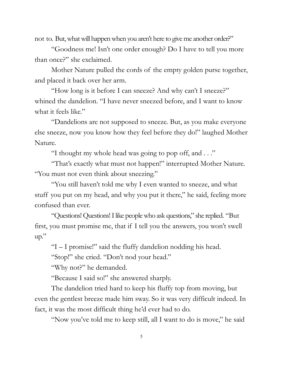not to. But, what will happen when you aren't here to give me another order?"

"Goodness me! Isn't one order enough? Do I have to tell you more than once?" she exclaimed.

Mother Nature pulled the cords of the empty golden purse together, and placed it back over her arm.

"How long is it before I can sneeze? And why can't I sneeze?" whined the dandelion. "I have never sneezed before, and I want to know what it feels like."

"Dandelions are not supposed to sneeze. But, as you make everyone else sneeze, now you know how they feel before they do!" laughed Mother Nature.

"I thought my whole head was going to pop off, and . . ."

"That's exactly what must not happen!" interrupted Mother Nature. "You must not even think about sneezing."

"You still haven't told me why I even wanted to sneeze, and what stuff you put on my head, and why you put it there," he said, feeling more confused than ever.

"Questions! Questions! I like people who ask questions," she replied. "But first, you must promise me, that if I tell you the answers, you won't swell up."

"I – I promise!" said the fluffy dandelion nodding his head.

"Stop!" she cried. "Don't nod your head."

"Why not?" he demanded.

"Because I said so!" she answered sharply.

The dandelion tried hard to keep his fluffy top from moving, but even the gentlest breeze made him sway. So it was very difficult indeed. In fact, it was the most difficult thing he'd ever had to do.

"Now you've told me to keep still, all I want to do is move," he said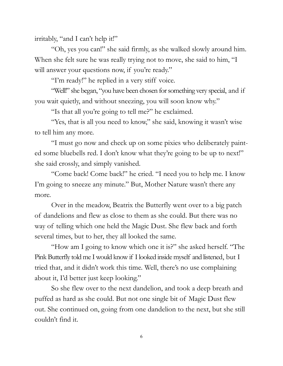irritably, "and I can't help it!"

"Oh, yes you can!" she said firmly, as she walked slowly around him. When she felt sure he was really trying not to move, she said to him, "I will answer your questions now, if you're ready."

"I'm ready!" he replied in a very stiff voice.

"Well!" she began, "you have been chosen for something very special, and if you wait quietly, and without sneezing, you will soon know why."

"Is that all you're going to tell me?" he exclaimed.

"Yes, that is all you need to know," she said, knowing it wasn't wise to tell him any more.

"I must go now and check up on some pixies who deliberately painted some bluebells red. I don't know what they're going to be up to next!" she said crossly, and simply vanished.

"Come back! Come back!" he cried. "I need you to help me. I know I'm going to sneeze any minute." But, Mother Nature wasn't there any more.

Over in the meadow, Beatrix the Butterfly went over to a big patch of dandelions and flew as close to them as she could. But there was no way of telling which one held the Magic Dust. She flew back and forth several times, but to her, they all looked the same.

"How am I going to know which one it is?" she asked herself. "The Pink Butterfly told me I would know if I looked inside myself and listened, but I tried that, and it didn't work this time. Well, there's no use complaining about it, I'd better just keep looking."

So she flew over to the next dandelion, and took a deep breath and puffed as hard as she could. But not one single bit of Magic Dust flew out. She continued on, going from one dandelion to the next, but she still couldn't find it.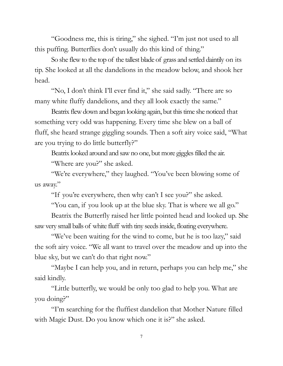"Goodness me, this is tiring," she sighed. "I'm just not used to all this puffing. Butterflies don't usually do this kind of thing."

So she flew to the top of the tallest blade of grass and settled daintily on its tip. She looked at all the dandelions in the meadow below, and shook her head.

"No, I don't think I'll ever find it," she said sadly. "There are so many white fluffy dandelions, and they all look exactly the same."

Beatrix flew down and began looking again, but this time she noticed that something very odd was happening. Every time she blew on a ball of fluff, she heard strange giggling sounds. Then a soft airy voice said, "What are you trying to do little butterfly?"

Beatrix looked around and saw no one, but more giggles filled the air. "Where are you?" she asked.

"We're everywhere," they laughed. "You've been blowing some of us away."

"If you're everywhere, then why can't I see you?" she asked.

"You can, if you look up at the blue sky. That is where we all go."

Beatrix the Butterfly raised her little pointed head and looked up. She saw very small balls of white fluff with tiny seeds inside, floating everywhere.

"We've been waiting for the wind to come, but he is too lazy," said the soft airy voice. "We all want to travel over the meadow and up into the blue sky, but we can't do that right now."

"Maybe I can help you, and in return, perhaps you can help me," she said kindly.

"Little butterfly, we would be only too glad to help you. What are you doing?"

"I'm searching for the fluffiest dandelion that Mother Nature filled with Magic Dust. Do you know which one it is?" she asked.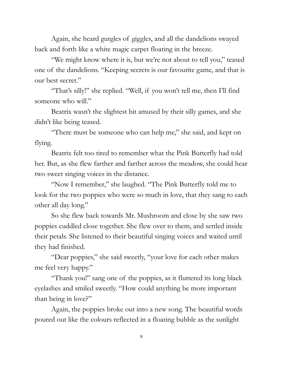Again, she heard gurgles of giggles, and all the dandelions swayed back and forth like a white magic carpet floating in the breeze.

"We might know where it is, but we're not about to tell you," teased one of the dandelions. "Keeping secrets is our favourite game, and that is our best secret."

"That's silly!" she replied. "Well, if you won't tell me, then I'll find someone who will."

Beatrix wasn't the slightest bit amused by their silly games, and she didn't like being teased.

"There must be someone who can help me," she said, and kept on flying.

Beatrix felt too tired to remember what the Pink Butterfly had told her. But, as she flew farther and farther across the meadow, she could hear two sweet singing voices in the distance.

"Now I remember," she laughed. "The Pink Butterfly told me to look for the two poppies who were so much in love, that they sang to each other all day long."

So she flew back towards Mr. Mushroom and close by she saw two poppies cuddled close together. She flew over to them, and settled inside their petals. She listened to their beautiful singing voices and waited until they had finished.

"Dear poppies," she said sweetly, "your love for each other makes me feel very happy."

"Thank you!" sang one of the poppies, as it fluttered its long black eyelashes and smiled sweetly. "How could anything be more important than being in love?"

Again, the poppies broke out into a new song. The beautiful words poured out like the colours reflected in a floating bubble as the sunlight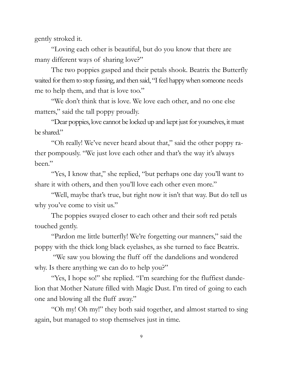gently stroked it.

"Loving each other is beautiful, but do you know that there are many different ways of sharing love?"

The two poppies gasped and their petals shook. Beatrix the Butterfly waited for them to stop fussing, and then said, "I feel happy when someone needs me to help them, and that is love too."

"We don't think that is love. We love each other, and no one else matters," said the tall poppy proudly.

"Dear poppies, love cannot be locked up and kept just for yourselves, it must be shared."

"Oh really! We've never heard about that," said the other poppy rather pompously. "We just love each other and that's the way it's always been."

"Yes, I know that," she replied, "but perhaps one day you'll want to share it with others, and then you'll love each other even more."

"Well, maybe that's true, but right now it isn't that way. But do tell us why you've come to visit us."

The poppies swayed closer to each other and their soft red petals touched gently.

"Pardon me little butterfly! We're forgetting our manners," said the poppy with the thick long black eyelashes, as she turned to face Beatrix.

"We saw you blowing the fluff off the dandelions and wondered why. Is there anything we can do to help you?"

"Yes, I hope so!" she replied. "I'm searching for the fluffiest dandelion that Mother Nature filled with Magic Dust. I'm tired of going to each one and blowing all the fluff away."

"Oh my! Oh my!" they both said together, and almost started to sing again, but managed to stop themselves just in time.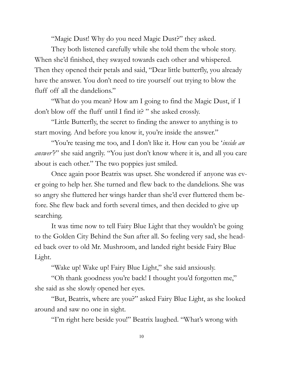"Magic Dust! Why do you need Magic Dust?" they asked.

They both listened carefully while she told them the whole story. When she'd finished, they swayed towards each other and whispered. Then they opened their petals and said, "Dear little butterfly, you already have the answer. You don't need to tire yourself out trying to blow the fluff off all the dandelions."

"What do you mean? How am I going to find the Magic Dust, if I don't blow off the fluff until I find it? " she asked crossly.

"Little Butterfly, the secret to finding the answer to anything is to start moving. And before you know it, you're inside the answer."

"You're teasing me too, and I don't like it. How can you be '*inside an answer'*?" she said angrily. "You just don't know where it is, and all you care about is each other." The two poppies just smiled.

Once again poor Beatrix was upset. She wondered if anyone was ever going to help her. She turned and flew back to the dandelions. She was so angry she fluttered her wings harder than she'd ever fluttered them before. She flew back and forth several times, and then decided to give up searching.

It was time now to tell Fairy Blue Light that they wouldn't be going to the Golden City Behind the Sun after all. So feeling very sad, she headed back over to old Mr. Mushroom, and landed right beside Fairy Blue Light.

"Wake up! Wake up! Fairy Blue Light," she said anxiously.

"Oh thank goodness you're back! I thought you'd forgotten me," she said as she slowly opened her eyes.

"But, Beatrix, where are you?" asked Fairy Blue Light, as she looked around and saw no one in sight.

"I'm right here beside you!" Beatrix laughed. "What's wrong with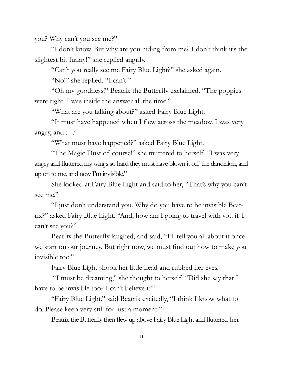you? Why can't you see me?"

"I don't know. But why are you hiding from me? I don't think it's the slightest bit funny!" she replied angrily.

"Can't you really see me Fairy Blue Light?" she asked again.

"No!" she replied. "I can't!"

"Oh my goodness!" Beatrix the Butterfly exclaimed. "The poppies were right. I was inside the answer all the time."

"What are you talking about?" asked Fairy Blue Light.

"It must have happened when I flew across the meadow. I was very angry, and  $\ldots$ "

"What must have happened?" asked Fairy Blue Light.

"The Magic Dust of course!" she muttered to herself. "I was very angry and fluttered my wings so hard they must have blown it off the dandelion, and up on to me, and now I'm invisible."

She looked at Fairy Blue Light and said to her, "That's why you can't see me."

"I just don't understand you. Why do you have to be invisible Beatrix?" asked Fairy Blue Light. "And, how am I going to travel with you if I can't see you?"

Beatrix the Butterfly laughed, and said, "I'll tell you all about it once we start on our journey. But right now, we must find out how to make you invisible too."

Fairy Blue Light shook her little head and rubbed her eyes.

"I must be dreaming," she thought to herself. "Did she say that I have to be invisible too? I can't believe it!"

"Fairy Blue Light," said Beatrix excitedly, "I think I know what to do. Please keep very still for just a moment."

Beatrix the Butterfly then flew up above Fairy Blue Light and fluttered her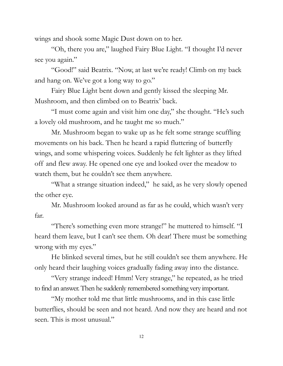wings and shook some Magic Dust down on to her.

"Oh, there you are," laughed Fairy Blue Light. "I thought I'd never see you again."

"Good!" said Beatrix. "Now, at last we're ready! Climb on my back and hang on. We've got a long way to go."

Fairy Blue Light bent down and gently kissed the sleeping Mr. Mushroom, and then climbed on to Beatrix' back.

"I must come again and visit him one day," she thought. "He's such a lovely old mushroom, and he taught me so much."

Mr. Mushroom began to wake up as he felt some strange scuffling movements on his back. Then he heard a rapid fluttering of butterfly wings, and some whispering voices. Suddenly he felt lighter as they lifted off and flew away. He opened one eye and looked over the meadow to watch them, but he couldn't see them anywhere.

"What a strange situation indeed," he said, as he very slowly opened the other eye.

Mr. Mushroom looked around as far as he could, which wasn't very far.

"There's something even more strange!" he muttered to himself. "I heard them leave, but I can't see them. Oh dear! There must be something wrong with my eyes."

He blinked several times, but he still couldn't see them anywhere. He only heard their laughing voices gradually fading away into the distance.

"Very strange indeed! Hmm! Very strange," he repeated, as he tried to find an answer. Then he suddenly remembered something very important.

"My mother told me that little mushrooms, and in this case little butterflies, should be seen and not heard. And now they are heard and not seen. This is most unusual."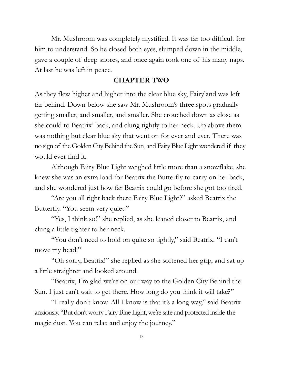Mr. Mushroom was completely mystified. It was far too difficult for him to understand. So he closed both eyes, slumped down in the middle, gave a couple of deep snores, and once again took one of his many naps. At last he was left in peace.

#### **CHAPTER TWO**

As they flew higher and higher into the clear blue sky, Fairyland was left far behind. Down below she saw Mr. Mushroom's three spots gradually getting smaller, and smaller, and smaller. She crouched down as close as she could to Beatrix' back, and clung tightly to her neck. Up above them was nothing but clear blue sky that went on for ever and ever. There was no sign of the Golden City Behind the Sun, and Fairy Blue Light wondered if they would ever find it.

Although Fairy Blue Light weighed little more than a snowflake, she knew she was an extra load for Beatrix the Butterfly to carry on her back, and she wondered just how far Beatrix could go before she got too tired.

"Are you all right back there Fairy Blue Light?" asked Beatrix the Butterfly. "You seem very quiet."

"Yes, I think so!" she replied, as she leaned closer to Beatrix, and clung a little tighter to her neck.

"You don't need to hold on quite so tightly," said Beatrix. "I can't move my head."

"Oh sorry, Beatrix!" she replied as she softened her grip, and sat up a little straighter and looked around.

"Beatrix, I'm glad we're on our way to the Golden City Behind the Sun. I just can't wait to get there. How long do you think it will take?"

"I really don't know. All I know is that it's a long way," said Beatrix anxiously. "But don't worry Fairy Blue Light, we're safe and protected inside the magic dust. You can relax and enjoy the journey."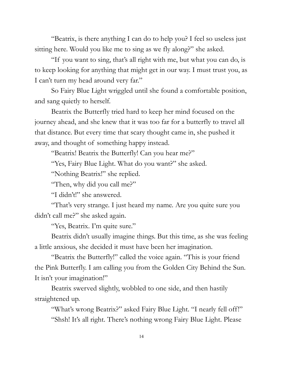"Beatrix, is there anything I can do to help you? I feel so useless just sitting here. Would you like me to sing as we fly along?" she asked.

"If you want to sing, that's all right with me, but what you can do, is to keep looking for anything that might get in our way. I must trust you, as I can't turn my head around very far."

So Fairy Blue Light wriggled until she found a comfortable position, and sang quietly to herself.

Beatrix the Butterfly tried hard to keep her mind focused on the journey ahead, and she knew that it was too far for a butterfly to travel all that distance. But every time that scary thought came in, she pushed it away, and thought of something happy instead.

"Beatrix! Beatrix the Butterfly! Can you hear me?"

"Yes, Fairy Blue Light. What do you want?" she asked.

"Nothing Beatrix!" she replied.

"Then, why did you call me?"

"I didn't!" she answered.

"That's very strange. I just heard my name. Are you quite sure you didn't call me?" she asked again.

"Yes, Beatrix. I'm quite sure."

Beatrix didn't usually imagine things. But this time, as she was feeling a little anxious, she decided it must have been her imagination.

"Beatrix the Butterfly!" called the voice again. "This is your friend the Pink Butterfly. I am calling you from the Golden City Behind the Sun. It isn't your imagination!"

Beatrix swerved slightly, wobbled to one side, and then hastily straightened up.

"What's wrong Beatrix?" asked Fairy Blue Light. "I nearly fell off!" "Shsh! It's all right. There's nothing wrong Fairy Blue Light. Please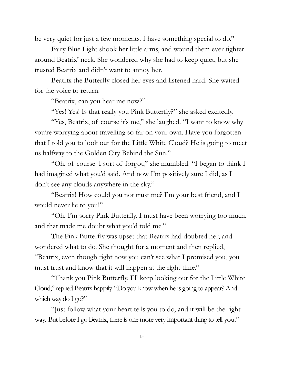be very quiet for just a few moments. I have something special to do."

Fairy Blue Light shook her little arms, and wound them ever tighter around Beatrix' neck. She wondered why she had to keep quiet, but she trusted Beatrix and didn't want to annoy her.

Beatrix the Butterfly closed her eyes and listened hard. She waited for the voice to return.

"Beatrix, can you hear me now?"

"Yes! Yes! Is that really you Pink Butterfly?" she asked excitedly.

"Yes, Beatrix, of course it's me," she laughed. "I want to know why you're worrying about travelling so far on your own. Have you forgotten that I told you to look out for the Little White Cloud? He is going to meet us halfway to the Golden City Behind the Sun."

"Oh, of course! I sort of forgot," she mumbled. "I began to think I had imagined what you'd said. And now I'm positively sure I did, as I don't see any clouds anywhere in the sky."

"Beatrix! How could you not trust me? I'm your best friend, and I would never lie to you!"

"Oh, I'm sorry Pink Butterfly. I must have been worrying too much, and that made me doubt what you'd told me."

The Pink Butterfly was upset that Beatrix had doubted her, and wondered what to do. She thought for a moment and then replied, "Beatrix, even though right now you can't see what I promised you, you must trust and know that it will happen at the right time."

"Thank you Pink Butterfly. I'll keep looking out for the Little White Cloud," replied Beatrix happily. "Do you know when he is going to appear? And which way do I go?"

"Just follow what your heart tells you to do, and it will be the right way. But before I go Beatrix, there is one more very important thing to tell you."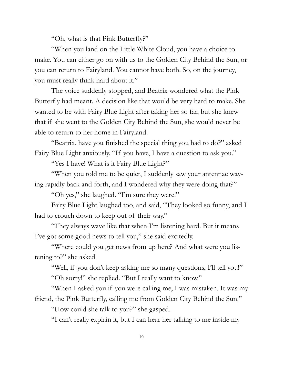"Oh, what is that Pink Butterfly?"

"When you land on the Little White Cloud, you have a choice to make. You can either go on with us to the Golden City Behind the Sun, or you can return to Fairyland. You cannot have both. So, on the journey, you must really think hard about it."

The voice suddenly stopped, and Beatrix wondered what the Pink Butterfly had meant. A decision like that would be very hard to make. She wanted to be with Fairy Blue Light after taking her so far, but she knew that if she went to the Golden City Behind the Sun, she would never be able to return to her home in Fairyland.

"Beatrix, have you finished the special thing you had to do?" asked Fairy Blue Light anxiously. "If you have, I have a question to ask you."

"Yes I have! What is it Fairy Blue Light?"

"When you told me to be quiet, I suddenly saw your antennae waving rapidly back and forth, and I wondered why they were doing that?"

"Oh yes," she laughed. "I'm sure they were!"

Fairy Blue Light laughed too, and said, "They looked so funny, and I had to crouch down to keep out of their way."

"They always wave like that when I'm listening hard. But it means I've got some good news to tell you," she said excitedly.

"Where could you get news from up here? And what were you listening to?" she asked.

"Well, if you don't keep asking me so many questions, I'll tell you!" "Oh sorry!" she replied. "But I really want to know."

"When I asked you if you were calling me, I was mistaken. It was my friend, the Pink Butterfly, calling me from Golden City Behind the Sun."

"How could she talk to you?" she gasped.

"I can't really explain it, but I can hear her talking to me inside my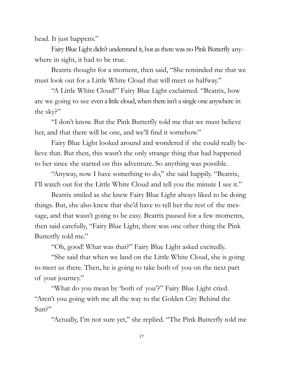head. It just happens."

Fairy Blue Light didn't understand it, but as there was no Pink Butterfly anywhere in sight, it had to be true.

Beatrix thought for a moment, then said, "She reminded me that we must look out for a Little White Cloud that will meet us halfway."

"A Little White Cloud!" Fairy Blue Light exclaimed. "Beatrix, how are we going to see even a little cloud, when there isn't a single one anywhere in the sky?"

"I don't know. But the Pink Butterfly told me that we must believe her, and that there will be one, and we'll find it somehow."

Fairy Blue Light looked around and wondered if she could really believe that. But then, this wasn't the only strange thing that had happened to her since she started on this adventure. So anything was possible.

"Anyway, now I have something to do," she said happily. "Beatrix, I'll watch out for the Little White Cloud and tell you the minute I see it."

Beatrix smiled as she knew Fairy Blue Light always liked to be doing things. But, she also knew that she'd have to tell her the rest of the message, and that wasn't going to be easy. Beatrix paused for a few moments, then said carefully, "Fairy Blue Light, there was one other thing the Pink Butterfly told me."

"Oh, good! What was that?" Fairy Blue Light asked excitedly.

"She said that when we land on the Little White Cloud, she is going to meet us there. Then, he is going to take both of you on the next part of your journey."

"What do you mean by 'both of you'?" Fairy Blue Light cried. "Aren't you going with me all the way to the Golden City Behind the Sun?"

"Actually, I'm not sure yet," she replied. "The Pink Butterfly told me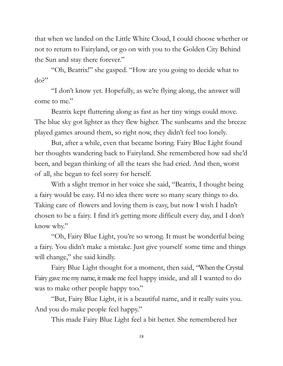that when we landed on the Little White Cloud, I could choose whether or not to return to Fairyland, or go on with you to the Golden City Behind the Sun and stay there forever."

"Oh, Beatrix!" she gasped. "How are you going to decide what to do?"

"I don't know yet. Hopefully, as we're flying along, the answer will come to me."

Beatrix kept fluttering along as fast as her tiny wings could move. The blue sky got lighter as they flew higher. The sunbeams and the breeze played games around them, so right now, they didn't feel too lonely.

But, after a while, even that became boring. Fairy Blue Light found her thoughts wandering back to Fairyland. She remembered how sad she'd been, and began thinking of all the tears she had cried. And then, worst of all, she began to feel sorry for herself.

With a slight tremor in her voice she said, "Beatrix, I thought being a fairy would be easy. I'd no idea there were so many scary things to do. Taking care of flowers and loving them is easy, but now I wish I hadn't chosen to be a fairy. I find it's getting more difficult every day, and I don't know why."

"Oh, Fairy Blue Light, you're so wrong. It must be wonderful being a fairy. You didn't make a mistake. Just give yourself some time and things will change," she said kindly.

Fairy Blue Light thought for a moment, then said, "When the Crystal Fairy gave me my name, it made me feel happy inside, and all I wanted to do was to make other people happy too."

"But, Fairy Blue Light, it is a beautiful name, and it really suits you. And you do make people feel happy."

This made Fairy Blue Light feel a bit better. She remembered her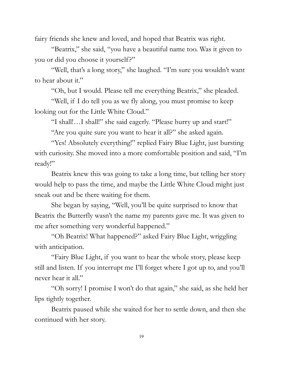fairy friends she knew and loved, and hoped that Beatrix was right.

"Beatrix," she said, "you have a beautiful name too. Was it given to you or did you choose it yourself?"

"Well, that's a long story," she laughed. "I'm sure you wouldn't want to hear about it."

"Oh, but I would. Please tell me everything Beatrix," she pleaded.

"Well, if I do tell you as we fly along, you must promise to keep looking out for the Little White Cloud."

"I shall!…I shall!" she said eagerly. "Please hurry up and start!"

"Are you quite sure you want to hear it all?" she asked again.

"Yes! Absolutely everything!" replied Fairy Blue Light, just bursting with curiosity. She moved into a more comfortable position and said, "I'm ready!"

Beatrix knew this was going to take a long time, but telling her story would help to pass the time, and maybe the Little White Cloud might just sneak out and be there waiting for them.

She began by saying, "Well, you'll be quite surprised to know that Beatrix the Butterfly wasn't the name my parents gave me. It was given to me after something very wonderful happened."

"Oh Beatrix! What happened?" asked Fairy Blue Light, wriggling with anticipation.

"Fairy Blue Light, if you want to hear the whole story, please keep still and listen. If you interrupt me I'll forget where I got up to, and you'll never hear it all."

"Oh sorry! I promise I won't do that again," she said, as she held her lips tightly together.

Beatrix paused while she waited for her to settle down, and then she continued with her story.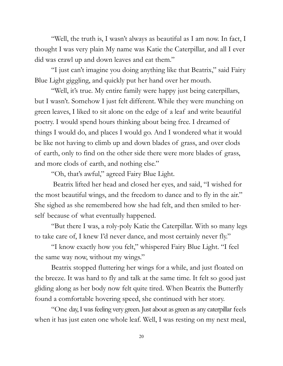"Well, the truth is, I wasn't always as beautiful as I am now. In fact, I thought I was very plain My name was Katie the Caterpillar, and all I ever did was crawl up and down leaves and eat them."

"I just can't imagine you doing anything like that Beatrix," said Fairy Blue Light giggling, and quickly put her hand over her mouth.

"Well, it's true. My entire family were happy just being caterpillars, but I wasn't. Somehow I just felt different. While they were munching on green leaves, I liked to sit alone on the edge of a leaf and write beautiful poetry. I would spend hours thinking about being free. I dreamed of things I would do, and places I would go. And I wondered what it would be like not having to climb up and down blades of grass, and over clods of earth, only to find on the other side there were more blades of grass, and more clods of earth, and nothing else."

"Oh, that's awful," agreed Fairy Blue Light.

Beatrix lifted her head and closed her eyes, and said, "I wished for the most beautiful wings, and the freedom to dance and to fly in the air." She sighed as she remembered how she had felt, and then smiled to herself because of what eventually happened.

"But there I was, a roly-poly Katie the Caterpillar. With so many legs to take care of, I knew I'd never dance, and most certainly never fly."

"I know exactly how you felt," whispered Fairy Blue Light. "I feel the same way now, without my wings."

Beatrix stopped fluttering her wings for a while, and just floated on the breeze. It was hard to fly and talk at the same time. It felt so good just gliding along as her body now felt quite tired. When Beatrix the Butterfly found a comfortable hovering speed, she continued with her story.

"One day, I was feeling very green. Just about as green as any caterpillar feels when it has just eaten one whole leaf. Well, I was resting on my next meal,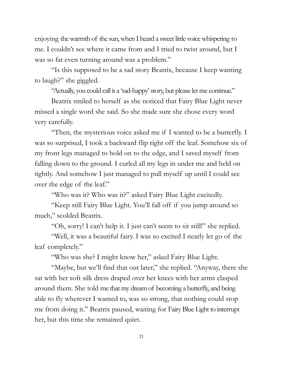enjoying the warmth of the sun, when I heard a sweet little voice whispering to me. I couldn't see where it came from and I tried to twist around, but I was so fat even turning around was a problem."

"Is this supposed to be a sad story Beatrix, because I keep wanting to laugh?" she giggled.

"Actually, you could call it a 'sad-happy' story, but please let me continue."

Beatrix smiled to herself as she noticed that Fairy Blue Light never missed a single word she said. So she made sure she chose every word very carefully.

"Then, the mysterious voice asked me if I wanted to be a butterfly. I was so surprised, I took a backward flip right off the leaf. Somehow six of my front legs managed to hold on to the edge, and I saved myself from falling down to the ground. I curled all my legs in under me and held on tightly. And somehow I just managed to pull myself up until I could see over the edge of the leaf."

"Who was it? Who was it?" asked Fairy Blue Light excitedly.

"Keep still Fairy Blue Light. You'll fall off if you jump around so much," scolded Beatrix.

"Oh, sorry! I can't help it. I just can't seem to sit still!" she replied.

"Well, it was a beautiful fairy. I was so excited I nearly let go of the leaf completely."

"Who was she? I might know her," asked Fairy Blue Light.

"Maybe, but we'll find that out later," she replied. "Anyway, there she sat with her soft silk dress draped over her knees with her arms clasped around them. She told me that my dream of becoming a butterfly, and being able to fly wherever I wanted to, was so strong, that nothing could stop me from doing it." Beatrix paused, waiting for Fairy Blue Light to interrupt her, but this time she remained quiet.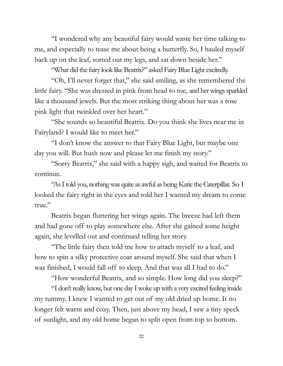"I wondered why any beautiful fairy would waste her time talking to me, and especially to tease me about being a butterfly. So, I hauled myself back up on the leaf, sorted out my legs, and sat down beside her."

"What did the fairy look like Beatrix?" asked Fairy Blue Light excitedly.

"Oh, I'll never forget that," she said smiling, as she remembered the little fairy. "She was dressed in pink from head to toe, and her wings sparkled like a thousand jewels. But the most striking thing about her was a rose pink light that twinkled over her heart."

"She sounds so beautiful Beatrix. Do you think she lives near me in Fairyland? I would like to meet her."

"I don't know the answer to that Fairy Blue Light, but maybe one day you will. But hush now and please let me finish my story."

"Sorry Beatrix," she said with a happy sigh, and waited for Beatrix to continue.

"As I told you, nothing was quite as awful as being Katie the Caterpillar. So I looked the fairy right in the eyes and told her I wanted my dream to come true."

Beatrix began fluttering her wings again. The breeze had left them and had gone off to play somewhere else. After she gained some height again, she levelled out and continued telling her story.

"The little fairy then told me how to attach myself to a leaf, and how to spin a silky protective coat around myself. She said that when I was finished, I would fall off to sleep. And that was all I had to do."

"How wonderful Beatrix, and so simple. How long did you sleep?"

"I don't really know, but one day I woke up with a very excited feeling inside my tummy. I knew I wanted to get out of my old dried up home. It no longer felt warm and cozy. Then, just above my head, I saw a tiny speck of sunlight, and my old home began to split open from top to bottom.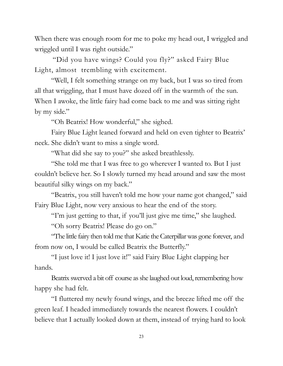When there was enough room for me to poke my head out, I wriggled and wriggled until I was right outside."

"Did you have wings? Could you fly?" asked Fairy Blue Light, almost trembling with excitement.

"Well, I felt something strange on my back, but I was so tired from all that wriggling, that I must have dozed off in the warmth of the sun. When I awoke, the little fairy had come back to me and was sitting right by my side."

"Oh Beatrix! How wonderful," she sighed.

Fairy Blue Light leaned forward and held on even tighter to Beatrix' neck. She didn't want to miss a single word.

"What did she say to you?" she asked breathlessly.

"She told me that I was free to go wherever I wanted to. But I just couldn't believe her. So I slowly turned my head around and saw the most beautiful silky wings on my back."

"Beatrix, you still haven't told me how your name got changed," said Fairy Blue Light, now very anxious to hear the end of the story.

"I'm just getting to that, if you'll just give me time," she laughed.

"Oh sorry Beatrix! Please do go on."

"The little fairy then told me that Katie the Caterpillar was gone forever, and from now on, I would be called Beatrix the Butterfly."

"I just love it! I just love it!" said Fairy Blue Light clapping her hands.

Beatrix swerved a bit off course as she laughed out loud, remembering how happy she had felt.

"I fluttered my newly found wings, and the breeze lifted me off the green leaf. I headed immediately towards the nearest flowers. I couldn't believe that I actually looked down at them, instead of trying hard to look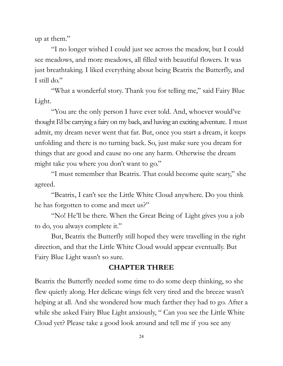up at them."

"I no longer wished I could just see across the meadow, but I could see meadows, and more meadows, all filled with beautiful flowers. It was just breathtaking. I liked everything about being Beatrix the Butterfly, and I still do."

"What a wonderful story. Thank you for telling me," said Fairy Blue Light.

"You are the only person I have ever told. And, whoever would've thought I'd be carrying a fairy on my back, and having an exciting adventure. I must admit, my dream never went that far. But, once you start a dream, it keeps unfolding and there is no turning back. So, just make sure you dream for things that are good and cause no one any harm. Otherwise the dream might take you where you don't want to go."

"I must remember that Beatrix. That could become quite scary," she agreed.

"Beatrix, I can't see the Little White Cloud anywhere. Do you think he has forgotten to come and meet us?"

"No! He'll be there. When the Great Being of Light gives you a job to do, you always complete it."

But, Beatrix the Butterfly still hoped they were travelling in the right direction, and that the Little White Cloud would appear eventually. But Fairy Blue Light wasn't so sure.

#### **CHAPTER THREE**

Beatrix the Butterfly needed some time to do some deep thinking, so she flew quietly along. Her delicate wings felt very tired and the breeze wasn't helping at all. And she wondered how much farther they had to go. After a while she asked Fairy Blue Light anxiously, " Can you see the Little White Cloud yet? Please take a good look around and tell me if you see any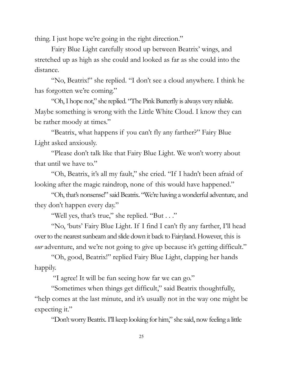thing. I just hope we're going in the right direction."

Fairy Blue Light carefully stood up between Beatrix' wings, and stretched up as high as she could and looked as far as she could into the distance.

"No, Beatrix!" she replied. "I don't see a cloud anywhere. I think he has forgotten we're coming."

"Oh, I hope not," she replied. "The Pink Butterfly is always very reliable. Maybe something is wrong with the Little White Cloud. I know they can be rather moody at times."

"Beatrix, what happens if you can't fly any farther?" Fairy Blue Light asked anxiously.

"Please don't talk like that Fairy Blue Light. We won't worry about that until we have to."

"Oh, Beatrix, it's all my fault," she cried. "If I hadn't been afraid of looking after the magic raindrop, none of this would have happened."

"Oh, that's nonsense!" said Beatrix. "We're having a wonderful adventure, and they don't happen every day."

"Well yes, that's true," she replied. "But . . ."

"No, 'buts' Fairy Blue Light. If I find I can't fly any farther, I'll head over to the nearest sunbeam and slide down it back to Fairyland. However, this is *our* adventure, and we're not going to give up because it's getting difficult."

"Oh, good, Beatrix!" replied Fairy Blue Light, clapping her hands happily.

"I agree! It will be fun seeing how far we can go."

"Sometimes when things get difficult," said Beatrix thoughtfully, "help comes at the last minute, and it's usually not in the way one might be expecting it."

"Don't worry Beatrix. I'll keep looking for him," she said, now feeling a little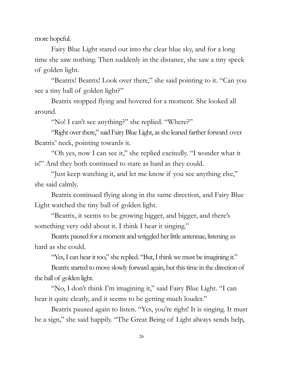more hopeful.

Fairy Blue Light stared out into the clear blue sky, and for a long time she saw nothing. Then suddenly in the distance, she saw a tiny speck of golden light.

"Beatrix! Beatrix! Look over there," she said pointing to it. "Can you see a tiny ball of golden light?"

Beatrix stopped flying and hovered for a moment. She looked all around.

"No! I can't see anything?" she replied. "Where?"

"Right over there," said Fairy Blue Light, as she leaned farther forward over Beatrix' neck, pointing towards it.

"Oh yes, now I can see it," she replied excitedly. "I wonder what it is!" And they both continued to stare as hard as they could.

"Just keep watching it, and let me know if you see anything else," she said calmly.

Beatrix continued flying along in the same direction, and Fairy Blue Light watched the tiny ball of golden light.

"Beatrix, it seems to be growing bigger, and bigger, and there's something very odd about it. I think I hear it singing."

Beatrix paused for a moment and wriggled her little antennae, listening as hard as she could.

"Yes, I can hear it too," she replied. "But, I think we must be imagining it."

Beatrix started to move slowly forward again, but this time in the direction of the ball of golden light.

"No, I don't think I'm imagining it," said Fairy Blue Light. "I can hear it quite clearly, and it seems to be getting much louder."

Beatrix paused again to listen. "Yes, you're right! It is singing. It must be a sign," she said happily. "The Great Being of Light always sends help,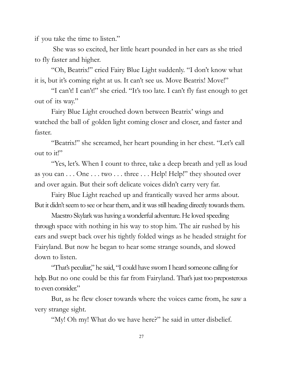if you take the time to listen."

She was so excited, her little heart pounded in her ears as she tried to fly faster and higher.

"Oh, Beatrix!" cried Fairy Blue Light suddenly. "I don't know what it is, but it's coming right at us. It can't see us. Move Beatrix! Move!"

"I can't! I can't!" she cried. "It's too late. I can't fly fast enough to get out of its way."

Fairy Blue Light crouched down between Beatrix' wings and watched the ball of golden light coming closer and closer, and faster and faster.

"Beatrix!" she screamed, her heart pounding in her chest. "Let's call out to it!"

"Yes, let's. When I count to three, take a deep breath and yell as loud as you can . . . One . . . two . . . three . . . Help! Help!" they shouted over and over again. But their soft delicate voices didn't carry very far.

Fairy Blue Light reached up and frantically waved her arms about. But it didn't seem to see or hear them, and it was still heading directly towards them.

Maestro Skylark was having a wonderful adventure. He loved speeding through space with nothing in his way to stop him. The air rushed by his ears and swept back over his tightly folded wings as he headed straight for Fairyland. But now he began to hear some strange sounds, and slowed down to listen.

"That's peculiar," he said, "I could have sworn I heard someone calling for help. But no one could be this far from Fairyland. That's just too preposterous to even consider."

But, as he flew closer towards where the voices came from, he saw a very strange sight.

"My! Oh my! What do we have here?" he said in utter disbelief.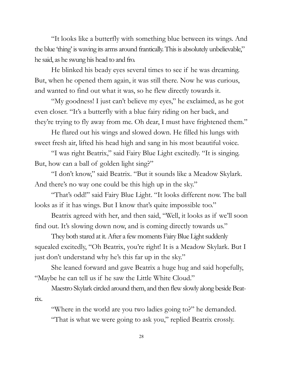"It looks like a butterfly with something blue between its wings. And the blue 'thing' is waving its arms around frantically. This is absolutely unbelievable," he said, as he swung his head to and fro.

He blinked his beady eyes several times to see if he was dreaming. But, when he opened them again, it was still there. Now he was curious, and wanted to find out what it was, so he flew directly towards it.

"My goodness! I just can't believe my eyes," he exclaimed, as he got even closer. "It's a butterfly with a blue fairy riding on her back, and they're trying to fly away from me. Oh dear, I must have frightened them."

He flared out his wings and slowed down. He filled his lungs with sweet fresh air, lifted his head high and sang in his most beautiful voice.

"I was right Beatrix," said Fairy Blue Light excitedly. "It is singing. But, how can a ball of golden light sing?"

"I don't know," said Beatrix. "But it sounds like a Meadow Skylark. And there's no way one could be this high up in the sky."

"That's odd!" said Fairy Blue Light. "It looks different now. The ball looks as if it has wings. But I know that's quite impossible too."

Beatrix agreed with her, and then said, "Well, it looks as if we'll soon find out. It's slowing down now, and is coming directly towards us."

They both stared at it. After a few moments Fairy Blue Light suddenly squealed excitedly, "Oh Beatrix, you're right! It is a Meadow Skylark. But I just don't understand why he's this far up in the sky."

She leaned forward and gave Beatrix a huge hug and said hopefully, "Maybe he can tell us if he saw the Little White Cloud."

Maestro Skylark circled around them, and then flew slowly along beside Beatrix.

"Where in the world are you two ladies going to?" he demanded. "That is what we were going to ask you," replied Beatrix crossly.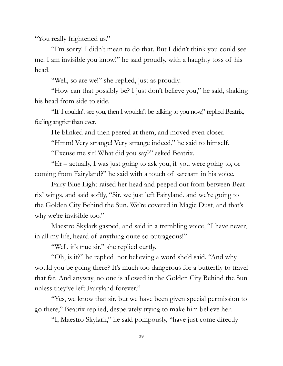"You really frightened us."

"I'm sorry! I didn't mean to do that. But I didn't think you could see me. I am invisible you know!" he said proudly, with a haughty toss of his head.

"Well, so are we!" she replied, just as proudly.

"How can that possibly be? I just don't believe you," he said, shaking his head from side to side.

"If I couldn't see you, then I wouldn't be talking to you now," replied Beatrix, feeling angrier than ever.

He blinked and then peered at them, and moved even closer.

"Hmm! Very strange! Very strange indeed," he said to himself.

"Excuse me sir! What did you say?" asked Beatrix.

"Er – actually, I was just going to ask you, if you were going to, or coming from Fairyland?" he said with a touch of sarcasm in his voice.

Fairy Blue Light raised her head and peeped out from between Beatrix' wings, and said softly, "Sir, we just left Fairyland, and we're going to the Golden City Behind the Sun. We're covered in Magic Dust, and that's why we're invisible too."

Maestro Skylark gasped, and said in a trembling voice, "I have never, in all my life, heard of anything quite so outrageous!"

"Well, it's true sir," she replied curtly.

"Oh, is it?" he replied, not believing a word she'd said. "And why would you be going there? It's much too dangerous for a butterfly to travel that far. And anyway, no one is allowed in the Golden City Behind the Sun unless they've left Fairyland forever."

"Yes, we know that sir, but we have been given special permission to go there," Beatrix replied, desperately trying to make him believe her.

"I, Maestro Skylark," he said pompously, "have just come directly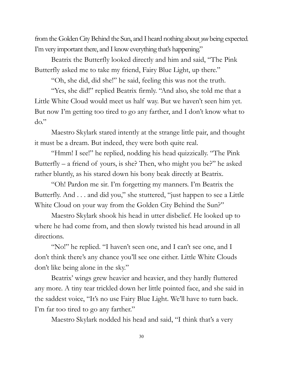from the Golden City Behind the Sun, and I heard nothing about *you* being expected I'm very important there, and I know everything that's happening."

Beatrix the Butterfly looked directly and him and said, "The Pink Butterfly asked me to take my friend, Fairy Blue Light, up there."

"Oh, she did, did she!" he said, feeling this was not the truth.

"Yes, she did!" replied Beatrix firmly. "And also, she told me that a Little White Cloud would meet us half way. But we haven't seen him yet. But now I'm getting too tired to go any farther, and I don't know what to do."

Maestro Skylark stared intently at the strange little pair, and thought it must be a dream. But indeed, they were both quite real.

"Hmm! I see!" he replied, nodding his head quizzically. "The Pink Butterfly – a friend of yours, is she? Then, who might you be?" he asked rather bluntly, as his stared down his bony beak directly at Beatrix.

"Oh! Pardon me sir. I'm forgetting my manners. I'm Beatrix the Butterfly. And . . . and did you," she stuttered, "just happen to see a Little White Cloud on your way from the Golden City Behind the Sun?"

Maestro Skylark shook his head in utter disbelief. He looked up to where he had come from, and then slowly twisted his head around in all directions.

"No!" he replied. "I haven't seen one, and I can't see one, and I don't think there's any chance you'll see one either. Little White Clouds don't like being alone in the sky."

Beatrix' wings grew heavier and heavier, and they hardly fluttered any more. A tiny tear trickled down her little pointed face, and she said in the saddest voice, "It's no use Fairy Blue Light. We'll have to turn back. I'm far too tired to go any farther."

Maestro Skylark nodded his head and said, "I think that's a very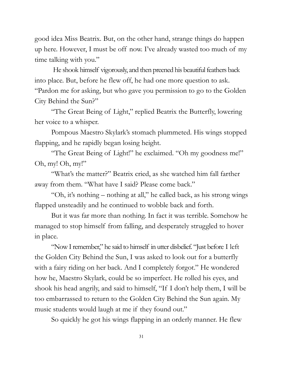good idea Miss Beatrix. But, on the other hand, strange things do happen up here. However, I must be off now. I've already wasted too much of my time talking with you."

He shook himself vigorously, and then preened his beautiful feathers back into place. But, before he flew off, he had one more question to ask. "Pardon me for asking, but who gave you permission to go to the Golden City Behind the Sun?"

"The Great Being of Light," replied Beatrix the Butterfly, lowering her voice to a whisper.

Pompous Maestro Skylark's stomach plummeted. His wings stopped flapping, and he rapidly began losing height.

"The Great Being of Light!" he exclaimed. "Oh my goodness me!" Oh, my! Oh, my!"

"What's the matter?" Beatrix cried, as she watched him fall farther away from them. "What have I said? Please come back."

"Oh, it's nothing – nothing at all," he called back, as his strong wings flapped unsteadily and he continued to wobble back and forth.

But it was far more than nothing. In fact it was terrible. Somehow he managed to stop himself from falling, and desperately struggled to hover in place.

"Now I remember," he said to himself in utter disbelief. "Just before I left the Golden City Behind the Sun, I was asked to look out for a butterfly with a fairy riding on her back. And I completely forgot." He wondered how he, Maestro Skylark, could be so imperfect. He rolled his eyes, and shook his head angrily, and said to himself, "If I don't help them, I will be too embarrassed to return to the Golden City Behind the Sun again. My music students would laugh at me if they found out."

So quickly he got his wings flapping in an orderly manner. He flew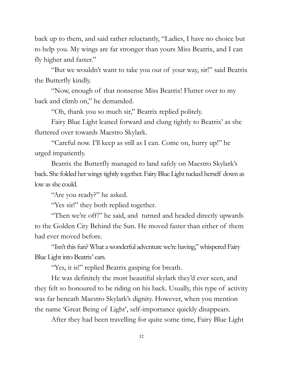back up to them, and said rather reluctantly, "Ladies, I have no choice but to help you. My wings are far stronger than yours Miss Beatrix, and I can fly higher and faster."

"But we wouldn't want to take you out of your way, sir!" said Beatrix the Butterfly kindly.

"Now, enough of that nonsense Miss Beatrix! Flutter over to my back and climb on," he demanded.

"Oh, thank you so much sir," Beatrix replied politely.

Fairy Blue Light leaned forward and clung tightly to Beatrix' as she fluttered over towards Maestro Skylark.

"Careful now. I'll keep as still as I can. Come on, hurry up!" he urged impatiently.

Beatrix the Butterfly managed to land safely on Maestro Skylark's back. She folded her wings tightly together. Fairy Blue Light tucked herself down as low as she could.

"Are you ready?" he asked.

"Yes sir!" they both replied together.

"Then we're off!" he said, and turned and headed directly upwards to the Golden City Behind the Sun. He moved faster than either of them had ever moved before.

"Isn't this fun? What a wonderful adventure we're having," whispered Fairy Blue Light into Beatrix' ears.

"Yes, it is!" replied Beatrix gasping for breath.

He was definitely the most beautiful skylark they'd ever seen, and they felt so honoured to be riding on his back. Usually, this type of activity was far beneath Maestro Skylark's dignity. However, when you mention the name 'Great Being of Light', self-importance quickly disappears.

After they had been travelling for quite some time, Fairy Blue Light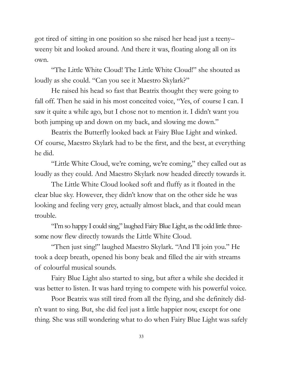got tired of sitting in one position so she raised her head just a teeny– weeny bit and looked around. And there it was, floating along all on its own.

"The Little White Cloud! The Little White Cloud!" she shouted as loudly as she could. "Can you see it Maestro Skylark?"

He raised his head so fast that Beatrix thought they were going to fall off. Then he said in his most conceited voice, "Yes, of course I can. I saw it quite a while ago, but I chose not to mention it. I didn't want you both jumping up and down on my back, and slowing me down."

Beatrix the Butterfly looked back at Fairy Blue Light and winked. Of course, Maestro Skylark had to be the first, and the best, at everything he did.

"Little White Cloud, we're coming, we're coming," they called out as loudly as they could. And Maestro Skylark now headed directly towards it.

The Little White Cloud looked soft and fluffy as it floated in the clear blue sky. However, they didn't know that on the other side he was looking and feeling very grey, actually almost black, and that could mean trouble.

"I'm so happy I could sing," laughed Fairy Blue Light, as the odd little threesome now flew directly towards the Little White Cloud.

"Then just sing!" laughed Maestro Skylark. "And I'll join you." He took a deep breath, opened his bony beak and filled the air with streams of colourful musical sounds.

Fairy Blue Light also started to sing, but after a while she decided it was better to listen. It was hard trying to compete with his powerful voice.

Poor Beatrix was still tired from all the flying, and she definitely didn't want to sing. But, she did feel just a little happier now, except for one thing. She was still wondering what to do when Fairy Blue Light was safely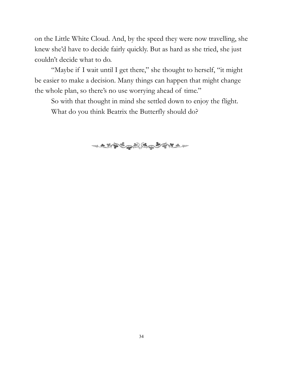on the Little White Cloud. And, by the speed they were now travelling, she knew she'd have to decide fairly quickly. But as hard as she tried, she just couldn't decide what to do.

"Maybe if I wait until I get there," she thought to herself, "it might be easier to make a decision. Many things can happen that might change the whole plan, so there's no use worrying ahead of time."

So with that thought in mind she settled down to enjoy the flight. What do you think Beatrix the Butterfly should do?

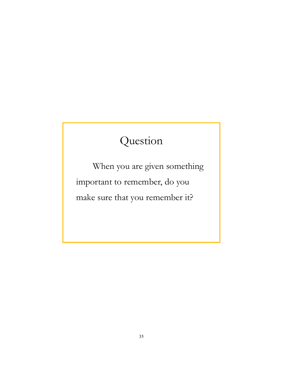## Question

When you are given something important to remember, do you make sure that you remember it?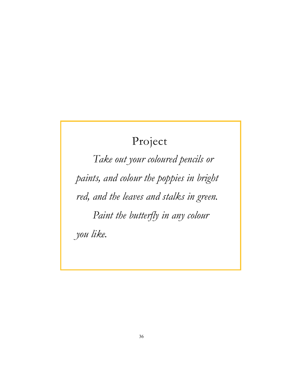### Project

*Take out your coloured pencils or paints, and colour the poppies in bright red, and the leaves and stalks in green. Paint the butterfly in any colour you like.*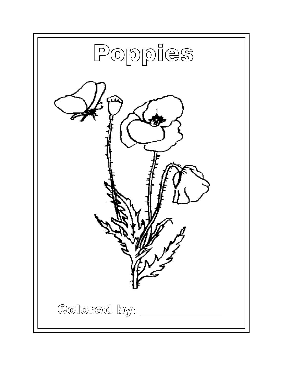